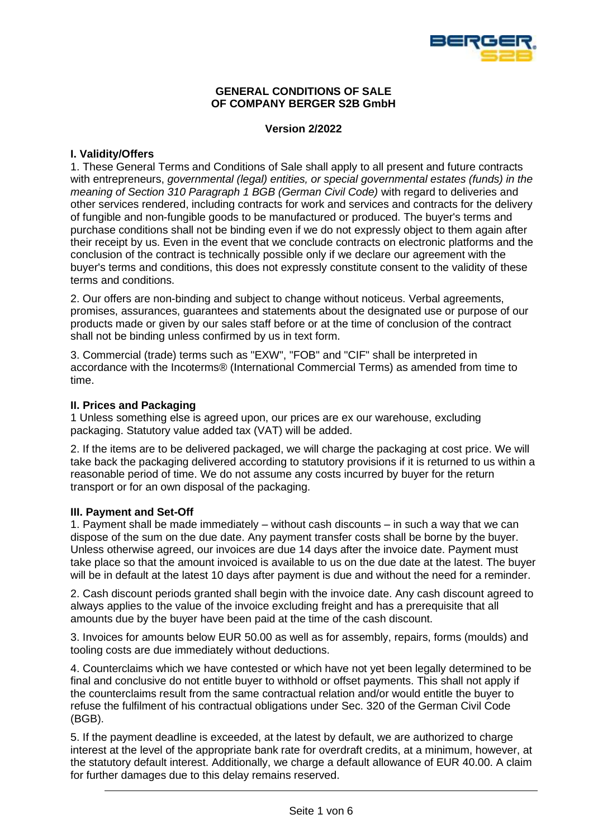

### **GENERAL CONDITIONS OF SALE OF COMPANY BERGER S2B GmbH**

# **Version 2/2022**

## **I. Validity/Offers**

1. These General Terms and Conditions of Sale shall apply to all present and future contracts with entrepreneurs, *governmental (legal) entities, or special governmental estates (funds) in the meaning of Section 310 Paragraph 1 BGB (German Civil Code)* with regard to deliveries and other services rendered, including contracts for work and services and contracts for the delivery of fungible and non-fungible goods to be manufactured or produced. The buyer's terms and purchase conditions shall not be binding even if we do not expressly object to them again after their receipt by us. Even in the event that we conclude contracts on electronic platforms and the conclusion of the contract is technically possible only if we declare our agreement with the buyer's terms and conditions, this does not expressly constitute consent to the validity of these terms and conditions.

2. Our offers are non-binding and subject to change without noticeus. Verbal agreements, promises, assurances, guarantees and statements about the designated use or purpose of our products made or given by our sales staff before or at the time of conclusion of the contract shall not be binding unless confirmed by us in text form.

3. Commercial (trade) terms such as "EXW", "FOB" and "CIF" shall be interpreted in accordance with the Incoterms® (International Commercial Terms) as amended from time to time.

## **II. Prices and Packaging**

1 Unless something else is agreed upon, our prices are ex our warehouse, excluding packaging. Statutory value added tax (VAT) will be added.

2. If the items are to be delivered packaged, we will charge the packaging at cost price. We will take back the packaging delivered according to statutory provisions if it is returned to us within a reasonable period of time. We do not assume any costs incurred by buyer for the return transport or for an own disposal of the packaging.

## **III. Payment and Set-Off**

1. Payment shall be made immediately – without cash discounts – in such a way that we can dispose of the sum on the due date. Any payment transfer costs shall be borne by the buyer. Unless otherwise agreed, our invoices are due 14 days after the invoice date. Payment must take place so that the amount invoiced is available to us on the due date at the latest. The buyer will be in default at the latest 10 days after payment is due and without the need for a reminder.

2. Cash discount periods granted shall begin with the invoice date. Any cash discount agreed to always applies to the value of the invoice excluding freight and has a prerequisite that all amounts due by the buyer have been paid at the time of the cash discount.

3. Invoices for amounts below EUR 50.00 as well as for assembly, repairs, forms (moulds) and tooling costs are due immediately without deductions.

4. Counterclaims which we have contested or which have not yet been legally determined to be final and conclusive do not entitle buyer to withhold or offset payments. This shall not apply if the counterclaims result from the same contractual relation and/or would entitle the buyer to refuse the fulfilment of his contractual obligations under Sec. 320 of the German Civil Code (BGB).

5. If the payment deadline is exceeded, at the latest by default, we are authorized to charge interest at the level of the appropriate bank rate for overdraft credits, at a minimum, however, at the statutory default interest. Additionally, we charge a default allowance of EUR 40.00. A claim for further damages due to this delay remains reserved.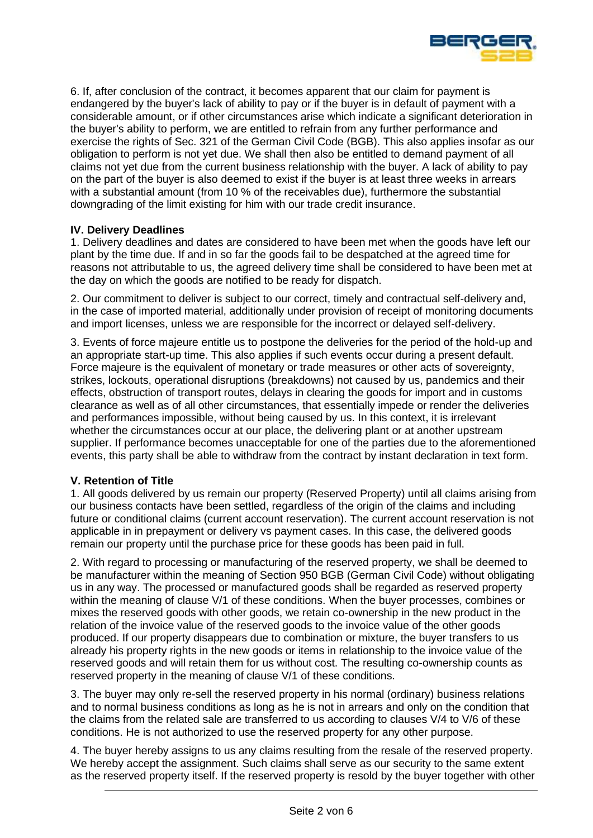

6. If, after conclusion of the contract, it becomes apparent that our claim for payment is endangered by the buyer's lack of ability to pay or if the buyer is in default of payment with a considerable amount, or if other circumstances arise which indicate a significant deterioration in the buyer's ability to perform, we are entitled to refrain from any further performance and exercise the rights of Sec. 321 of the German Civil Code (BGB). This also applies insofar as our obligation to perform is not yet due. We shall then also be entitled to demand payment of all claims not yet due from the current business relationship with the buyer. A lack of ability to pay on the part of the buyer is also deemed to exist if the buyer is at least three weeks in arrears with a substantial amount (from 10 % of the receivables due), furthermore the substantial downgrading of the limit existing for him with our trade credit insurance.

# **IV. Delivery Deadlines**

1. Delivery deadlines and dates are considered to have been met when the goods have left our plant by the time due. If and in so far the goods fail to be despatched at the agreed time for reasons not attributable to us, the agreed delivery time shall be considered to have been met at the day on which the goods are notified to be ready for dispatch.

2. Our commitment to deliver is subject to our correct, timely and contractual self-delivery and, in the case of imported material, additionally under provision of receipt of monitoring documents and import licenses, unless we are responsible for the incorrect or delayed self-delivery.

3. Events of force majeure entitle us to postpone the deliveries for the period of the hold-up and an appropriate start-up time. This also applies if such events occur during a present default. Force majeure is the equivalent of monetary or trade measures or other acts of sovereignty, strikes, lockouts, operational disruptions (breakdowns) not caused by us, pandemics and their effects, obstruction of transport routes, delays in clearing the goods for import and in customs clearance as well as of all other circumstances, that essentially impede or render the deliveries and performances impossible, without being caused by us. In this context, it is irrelevant whether the circumstances occur at our place, the delivering plant or at another upstream supplier. If performance becomes unacceptable for one of the parties due to the aforementioned events, this party shall be able to withdraw from the contract by instant declaration in text form.

## **V. Retention of Title**

1. All goods delivered by us remain our property (Reserved Property) until all claims arising from our business contacts have been settled, regardless of the origin of the claims and including future or conditional claims (current account reservation). The current account reservation is not applicable in in prepayment or delivery vs payment cases. In this case, the delivered goods remain our property until the purchase price for these goods has been paid in full.

2. With regard to processing or manufacturing of the reserved property, we shall be deemed to be manufacturer within the meaning of Section 950 BGB (German Civil Code) without obligating us in any way. The processed or manufactured goods shall be regarded as reserved property within the meaning of clause V/1 of these conditions. When the buyer processes, combines or mixes the reserved goods with other goods, we retain co-ownership in the new product in the relation of the invoice value of the reserved goods to the invoice value of the other goods produced. If our property disappears due to combination or mixture, the buyer transfers to us already his property rights in the new goods or items in relationship to the invoice value of the reserved goods and will retain them for us without cost. The resulting co-ownership counts as reserved property in the meaning of clause V/1 of these conditions.

3. The buyer may only re-sell the reserved property in his normal (ordinary) business relations and to normal business conditions as long as he is not in arrears and only on the condition that the claims from the related sale are transferred to us according to clauses V/4 to V/6 of these conditions. He is not authorized to use the reserved property for any other purpose.

4. The buyer hereby assigns to us any claims resulting from the resale of the reserved property. We hereby accept the assignment. Such claims shall serve as our security to the same extent as the reserved property itself. If the reserved property is resold by the buyer together with other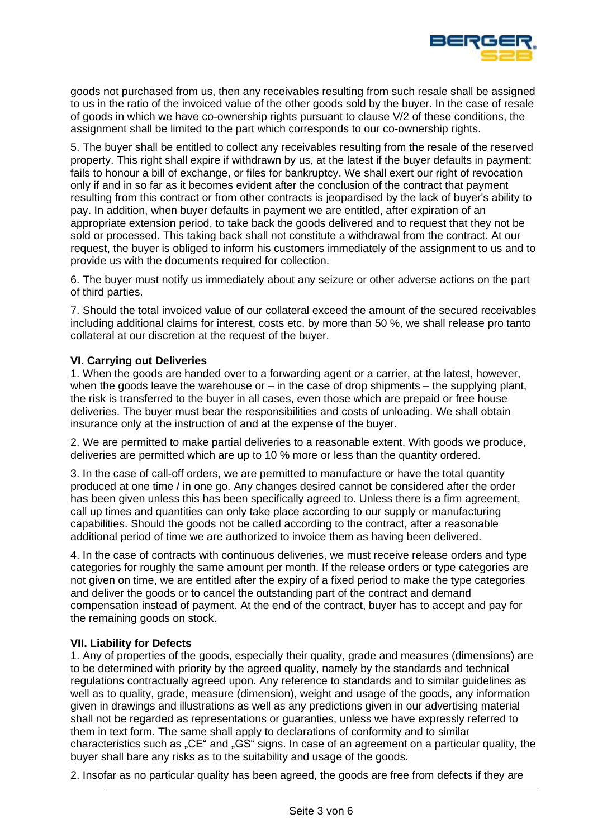

goods not purchased from us, then any receivables resulting from such resale shall be assigned to us in the ratio of the invoiced value of the other goods sold by the buyer. In the case of resale of goods in which we have co-ownership rights pursuant to clause V/2 of these conditions, the assignment shall be limited to the part which corresponds to our co-ownership rights.

5. The buyer shall be entitled to collect any receivables resulting from the resale of the reserved property. This right shall expire if withdrawn by us, at the latest if the buyer defaults in payment; fails to honour a bill of exchange, or files for bankruptcy. We shall exert our right of revocation only if and in so far as it becomes evident after the conclusion of the contract that payment resulting from this contract or from other contracts is jeopardised by the lack of buyer's ability to pay. In addition, when buyer defaults in payment we are entitled, after expiration of an appropriate extension period, to take back the goods delivered and to request that they not be sold or processed. This taking back shall not constitute a withdrawal from the contract. At our request, the buyer is obliged to inform his customers immediately of the assignment to us and to provide us with the documents required for collection.

6. The buyer must notify us immediately about any seizure or other adverse actions on the part of third parties.

7. Should the total invoiced value of our collateral exceed the amount of the secured receivables including additional claims for interest, costs etc. by more than 50 %, we shall release pro tanto collateral at our discretion at the request of the buyer.

### **VI. Carrying out Deliveries**

1. When the goods are handed over to a forwarding agent or a carrier, at the latest, however, when the goods leave the warehouse or  $-$  in the case of drop shipments  $-$  the supplying plant, the risk is transferred to the buyer in all cases, even those which are prepaid or free house deliveries. The buyer must bear the responsibilities and costs of unloading. We shall obtain insurance only at the instruction of and at the expense of the buyer.

2. We are permitted to make partial deliveries to a reasonable extent. With goods we produce, deliveries are permitted which are up to 10 % more or less than the quantity ordered.

3. In the case of call-off orders, we are permitted to manufacture or have the total quantity produced at one time / in one go. Any changes desired cannot be considered after the order has been given unless this has been specifically agreed to. Unless there is a firm agreement, call up times and quantities can only take place according to our supply or manufacturing capabilities. Should the goods not be called according to the contract, after a reasonable additional period of time we are authorized to invoice them as having been delivered.

4. In the case of contracts with continuous deliveries, we must receive release orders and type categories for roughly the same amount per month. If the release orders or type categories are not given on time, we are entitled after the expiry of a fixed period to make the type categories and deliver the goods or to cancel the outstanding part of the contract and demand compensation instead of payment. At the end of the contract, buyer has to accept and pay for the remaining goods on stock.

#### **VII. Liability for Defects**

1. Any of properties of the goods, especially their quality, grade and measures (dimensions) are to be determined with priority by the agreed quality, namely by the standards and technical regulations contractually agreed upon. Any reference to standards and to similar guidelines as well as to quality, grade, measure (dimension), weight and usage of the goods, any information given in drawings and illustrations as well as any predictions given in our advertising material shall not be regarded as representations or guaranties, unless we have expressly referred to them in text form. The same shall apply to declarations of conformity and to similar characteristics such as "CE" and "GS" signs. In case of an agreement on a particular quality, the buyer shall bare any risks as to the suitability and usage of the goods.

2. Insofar as no particular quality has been agreed, the goods are free from defects if they are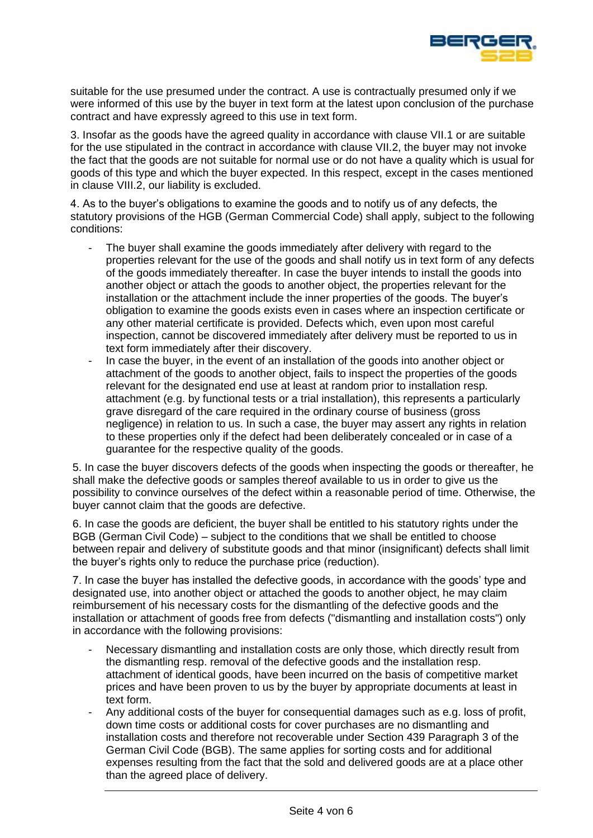

suitable for the use presumed under the contract. A use is contractually presumed only if we were informed of this use by the buyer in text form at the latest upon conclusion of the purchase contract and have expressly agreed to this use in text form.

3. Insofar as the goods have the agreed quality in accordance with clause VII.1 or are suitable for the use stipulated in the contract in accordance with clause VII.2, the buyer may not invoke the fact that the goods are not suitable for normal use or do not have a quality which is usual for goods of this type and which the buyer expected. In this respect, except in the cases mentioned in clause VIII.2, our liability is excluded.

4. As to the buyer's obligations to examine the goods and to notify us of any defects, the statutory provisions of the HGB (German Commercial Code) shall apply, subject to the following conditions:

- The buyer shall examine the goods immediately after delivery with regard to the properties relevant for the use of the goods and shall notify us in text form of any defects of the goods immediately thereafter. In case the buyer intends to install the goods into another object or attach the goods to another object, the properties relevant for the installation or the attachment include the inner properties of the goods. The buyer's obligation to examine the goods exists even in cases where an inspection certificate or any other material certificate is provided. Defects which, even upon most careful inspection, cannot be discovered immediately after delivery must be reported to us in text form immediately after their discovery.
- In case the buyer, in the event of an installation of the goods into another object or attachment of the goods to another object, fails to inspect the properties of the goods relevant for the designated end use at least at random prior to installation resp. attachment (e.g. by functional tests or a trial installation), this represents a particularly grave disregard of the care required in the ordinary course of business (gross negligence) in relation to us. In such a case, the buyer may assert any rights in relation to these properties only if the defect had been deliberately concealed or in case of a guarantee for the respective quality of the goods.

5. In case the buyer discovers defects of the goods when inspecting the goods or thereafter, he shall make the defective goods or samples thereof available to us in order to give us the possibility to convince ourselves of the defect within a reasonable period of time. Otherwise, the buyer cannot claim that the goods are defective.

6. In case the goods are deficient, the buyer shall be entitled to his statutory rights under the BGB (German Civil Code) – subject to the conditions that we shall be entitled to choose between repair and delivery of substitute goods and that minor (insignificant) defects shall limit the buyer's rights only to reduce the purchase price (reduction).

7. In case the buyer has installed the defective goods, in accordance with the goods' type and designated use, into another object or attached the goods to another object, he may claim reimbursement of his necessary costs for the dismantling of the defective goods and the installation or attachment of goods free from defects ("dismantling and installation costs") only in accordance with the following provisions:

- Necessary dismantling and installation costs are only those, which directly result from the dismantling resp. removal of the defective goods and the installation resp. attachment of identical goods, have been incurred on the basis of competitive market prices and have been proven to us by the buyer by appropriate documents at least in text form.
- Any additional costs of the buyer for consequential damages such as e.g. loss of profit, down time costs or additional costs for cover purchases are no dismantling and installation costs and therefore not recoverable under Section 439 Paragraph 3 of the German Civil Code (BGB). The same applies for sorting costs and for additional expenses resulting from the fact that the sold and delivered goods are at a place other than the agreed place of delivery.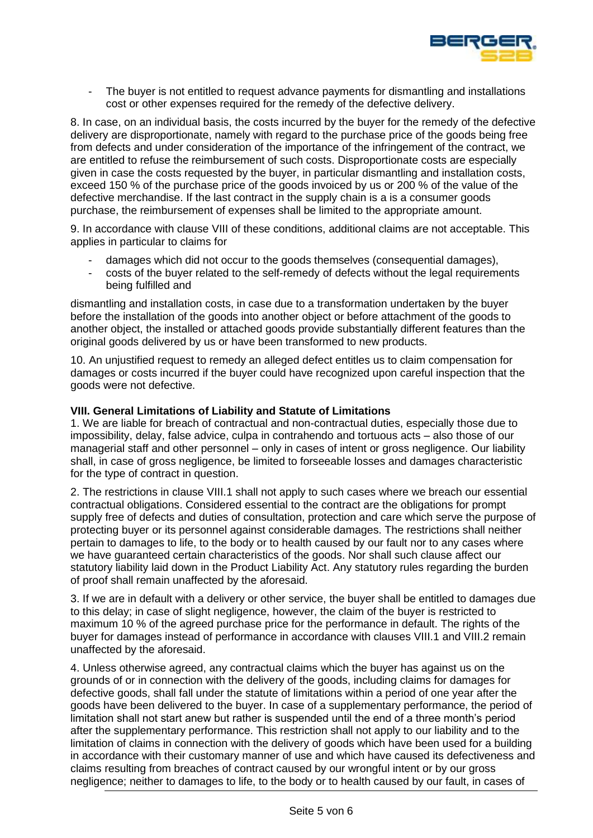

- The buyer is not entitled to request advance payments for dismantling and installations cost or other expenses required for the remedy of the defective delivery.

8. In case, on an individual basis, the costs incurred by the buyer for the remedy of the defective delivery are disproportionate, namely with regard to the purchase price of the goods being free from defects and under consideration of the importance of the infringement of the contract, we are entitled to refuse the reimbursement of such costs. Disproportionate costs are especially given in case the costs requested by the buyer, in particular dismantling and installation costs, exceed 150 % of the purchase price of the goods invoiced by us or 200 % of the value of the defective merchandise. If the last contract in the supply chain is a is a consumer goods purchase, the reimbursement of expenses shall be limited to the appropriate amount.

9. In accordance with clause VIII of these conditions, additional claims are not acceptable. This applies in particular to claims for

- damages which did not occur to the goods themselves (consequential damages),
- costs of the buyer related to the self-remedy of defects without the legal requirements being fulfilled and

dismantling and installation costs, in case due to a transformation undertaken by the buyer before the installation of the goods into another object or before attachment of the goods to another object, the installed or attached goods provide substantially different features than the original goods delivered by us or have been transformed to new products.

10. An unjustified request to remedy an alleged defect entitles us to claim compensation for damages or costs incurred if the buyer could have recognized upon careful inspection that the goods were not defective.

### **VIII. General Limitations of Liability and Statute of Limitations**

1. We are liable for breach of contractual and non-contractual duties, especially those due to impossibility, delay, false advice, culpa in contrahendo and tortuous acts – also those of our managerial staff and other personnel – only in cases of intent or gross negligence. Our liability shall, in case of gross negligence, be limited to forseeable losses and damages characteristic for the type of contract in question.

2. The restrictions in clause VIII.1 shall not apply to such cases where we breach our essential contractual obligations. Considered essential to the contract are the obligations for prompt supply free of defects and duties of consultation, protection and care which serve the purpose of protecting buyer or its personnel against considerable damages. The restrictions shall neither pertain to damages to life, to the body or to health caused by our fault nor to any cases where we have guaranteed certain characteristics of the goods. Nor shall such clause affect our statutory liability laid down in the Product Liability Act. Any statutory rules regarding the burden of proof shall remain unaffected by the aforesaid.

3. If we are in default with a delivery or other service, the buyer shall be entitled to damages due to this delay; in case of slight negligence, however, the claim of the buyer is restricted to maximum 10 % of the agreed purchase price for the performance in default. The rights of the buyer for damages instead of performance in accordance with clauses VIII.1 and VIII.2 remain unaffected by the aforesaid.

4. Unless otherwise agreed, any contractual claims which the buyer has against us on the grounds of or in connection with the delivery of the goods, including claims for damages for defective goods, shall fall under the statute of limitations within a period of one year after the goods have been delivered to the buyer. In case of a supplementary performance, the period of limitation shall not start anew but rather is suspended until the end of a three month's period after the supplementary performance. This restriction shall not apply to our liability and to the limitation of claims in connection with the delivery of goods which have been used for a building in accordance with their customary manner of use and which have caused its defectiveness and claims resulting from breaches of contract caused by our wrongful intent or by our gross negligence; neither to damages to life, to the body or to health caused by our fault, in cases of